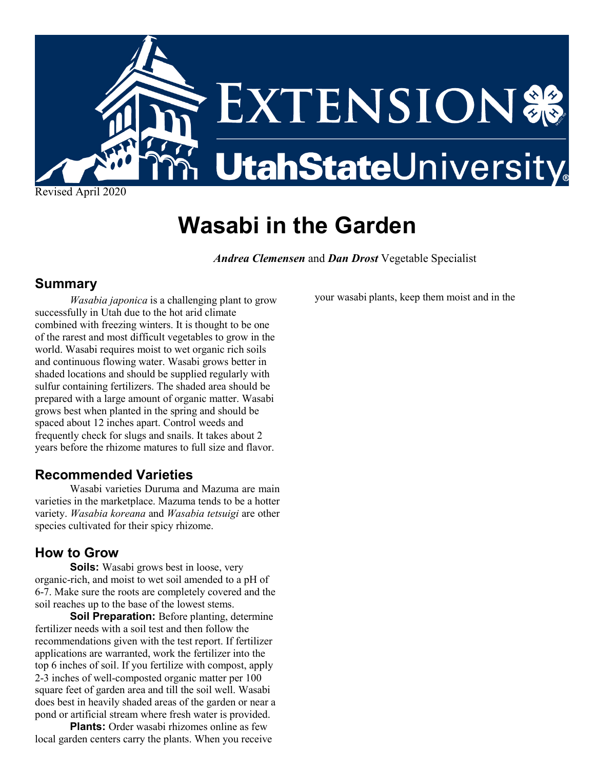

# **Wasabi in the Garden**

*Andrea Clemensen* and *Dan Drost* Vegetable Specialist

### **Summary**

*Wasabia japonica* is a challenging plant to grow successfully in Utah due to the hot arid climate combined with freezing winters. It is thought to be one of the rarest and most difficult vegetables to grow in the world. Wasabi requires moist to wet organic rich soils and continuous flowing water. Wasabi grows better in shaded locations and should be supplied regularly with sulfur containing fertilizers. The shaded area should be prepared with a large amount of organic matter. Wasabi grows best when planted in the spring and should be spaced about 12 inches apart. Control weeds and frequently check for slugs and snails. It takes about 2 years before the rhizome matures to full size and flavor.

## **Recommended Varieties**

Wasabi varieties Duruma and Mazuma are main varieties in the marketplace. Mazuma tends to be a hotter variety. *Wasabia koreana* and *Wasabia tetsuigi* are other species cultivated for their spicy rhizome.

## **How to Grow**

**Soils:** Wasabi grows best in loose, very organic-rich, and moist to wet soil amended to a pH of 6-7. Make sure the roots are completely covered and the soil reaches up to the base of the lowest stems.

**Soil Preparation:** Before planting, determine fertilizer needs with a soil test and then follow the recommendations given with the test report. If fertilizer applications are warranted, work the fertilizer into the top 6 inches of soil. If you fertilize with compost, apply 2-3 inches of well-composted organic matter per 100 square feet of garden area and till the soil well. Wasabi does best in heavily shaded areas of the garden or near a pond or artificial stream where fresh water is provided.

**Plants:** Order wasabi rhizomes online as few local garden centers carry the plants. When you receive your wasabi plants, keep them moist and in the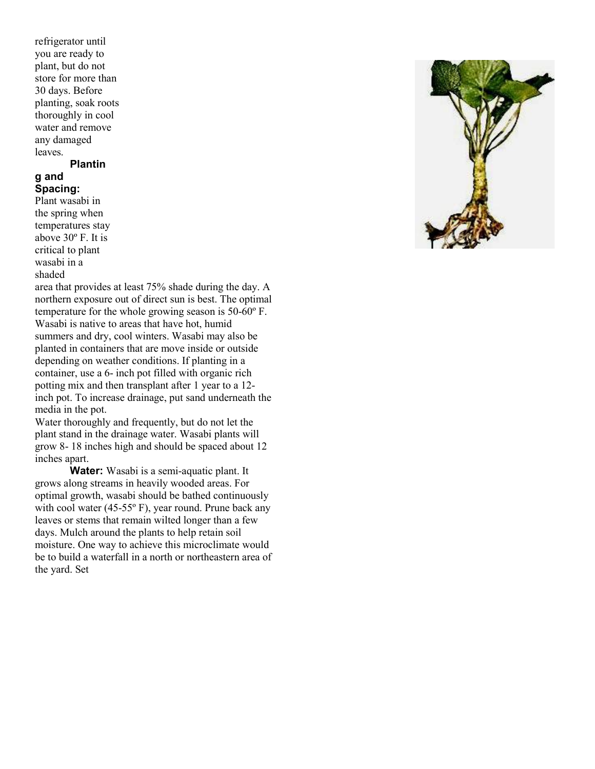refrigerator until you are ready to plant, but do not store for more than 30 days. Before planting, soak roots thoroughly in cool water and remove any damaged leaves.

#### **Plantin**

#### **g and Spacing:**

Plant wasabi in the spring when temperatures stay above 30º F. It is critical to plant wasabi in a shaded

area that provides at least 75% shade during the day. A northern exposure out of direct sun is best. The optimal temperature for the whole growing season is 50-60º F. Wasabi is native to areas that have hot, humid summers and dry, cool winters. Wasabi may also be planted in containers that are move inside or outside depending on weather conditions. If planting in a container, use a 6- inch pot filled with organic rich potting mix and then transplant after 1 year to a 12 inch pot. To increase drainage, put sand underneath the media in the pot.

Water thoroughly and frequently, but do not let the plant stand in the drainage water. Wasabi plants will grow 8- 18 inches high and should be spaced about 12 inches apart.

**Water:** Wasabi is a semi-aquatic plant. It grows along streams in heavily wooded areas. For optimal growth, wasabi should be bathed continuously with cool water (45-55º F), year round. Prune back any leaves or stems that remain wilted longer than a few days. Mulch around the plants to help retain soil moisture. One way to achieve this microclimate would be to build a waterfall in a north or northeastern area of the yard. Set